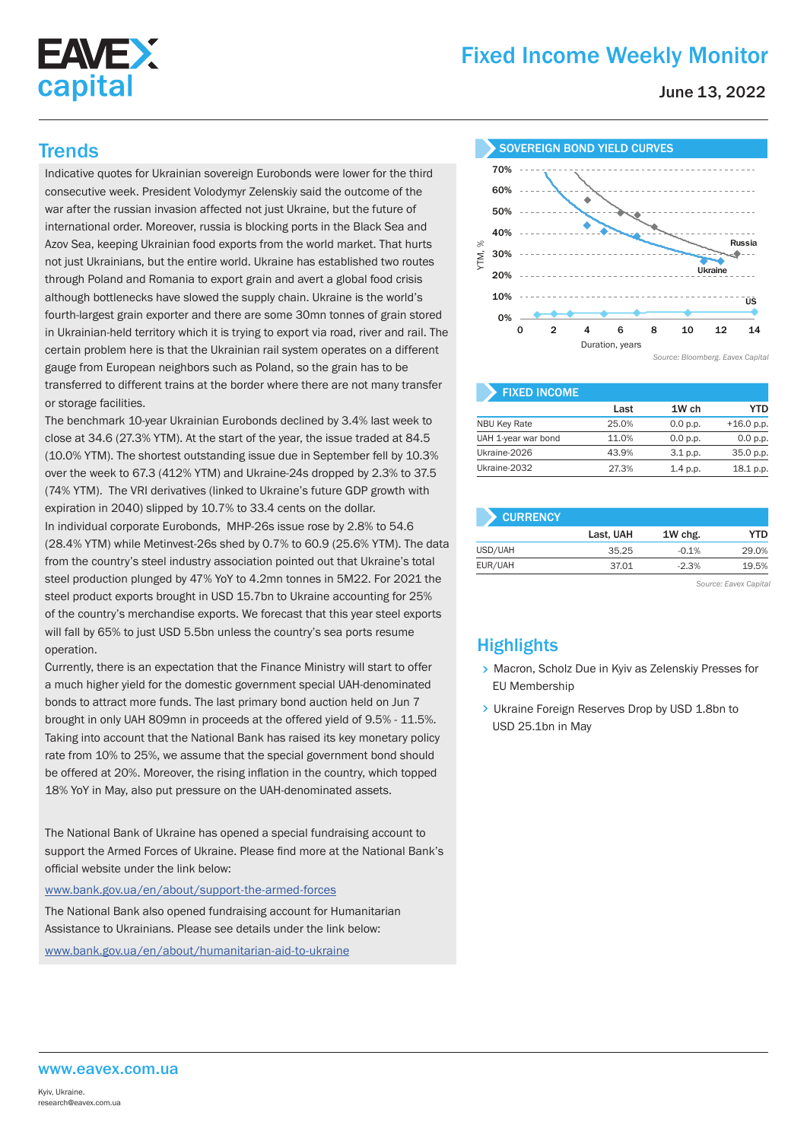

# Fixed Income Weekly Monitor

June 13, 2022

Indicative quotes for Ukrainian sovereign Eurobonds were lower for the third consecutive week. President Volodymyr Zelenskiy said the outcome of the war after the russian invasion affected not just Ukraine, but the future of international order. Moreover, russia is blocking ports in the Black Sea and Azov Sea, keeping Ukrainian food exports from the world market. That hurts not just Ukrainians, but the entire world. Ukraine has established two routes through Poland and Romania to export grain and avert a global food crisis although bottlenecks have slowed the supply chain. Ukraine is the world's fourth-largest grain exporter and there are some 30mn tonnes of grain stored in Ukrainian-held territory which it is trying to export via road, river and rail. The certain problem here is that the Ukrainian rail system operates on a different gauge from European neighbors such as Poland, so the grain has to be transferred to different trains at the border where there are not many transfer or storage facilities.

The benchmark 10-year Ukrainian Eurobonds declined by 3.4% last week to close at 34.6 (27.3% YTM). At the start of the year, the issue traded at 84.5 (10.0% YTM). The shortest outstanding issue due in September fell by 10.3% over the week to 67.3 (412% YTM) and Ukraine-24s dropped by 2.3% to 37.5 (74% YTM). The VRI derivatives (linked to Ukraine's future GDP growth with expiration in 2040) slipped by 10.7% to 33.4 cents on the dollar. In individual corporate Eurobonds, MHP-26s issue rose by 2.8% to 54.6 (28.4% YTM) while Metinvest-26s shed by 0.7% to 60.9 (25.6% YTM). The data from the country's steel industry association pointed out that Ukraine's total steel production plunged by 47% YoY to 4.2mn tonnes in 5M22. For 2021 the steel product exports brought in USD 15.7bn to Ukraine accounting for 25% of the country's merchandise exports. We forecast that this year steel exports will fall by 65% to just USD 5.5bn unless the country's sea ports resume operation.

Currently, there is an expectation that the Finance Ministry will start to offer a much higher yield for the domestic government special UAH-denominated bonds to attract more funds. The last primary bond auction held on Jun 7 brought in only UAH 809mn in proceeds at the offered yield of 9.5% - 11.5%. Taking into account that the National Bank has raised its key monetary policy rate from 10% to 25%, we assume that the special government bond should be offered at 20%. Moreover, the rising inflation in the country, which topped 18% YoY in May, also put pressure on the UAH-denominated assets.

The National Bank of Ukraine has opened a special fundraising account to support the Armed Forces of Ukraine. Please find more at the National Bank's official website under the link below:

www.bank.gov.ua/en/about/support-the-armed-forces

The National Bank also opened fundraising account for Humanitarian Assistance to Ukrainians. Please see details under the link below: www.bank.gov.ua/en/about/humanitarian-aid-to-ukraine



| <b>FIXED INCOME</b> |       |            |              |
|---------------------|-------|------------|--------------|
|                     | Last  | 1W ch      | YTD          |
| <b>NBU Key Rate</b> | 25.0% | 0.0 p.p.   | $+16.0$ p.p. |
| UAH 1-year war bond | 11.0% | 0.0 p.p.   | 0.0 p.p.     |
| Ukraine-2026        | 43.9% | $3.1$ p.p. | 35.0 p.p.    |
| Ukraine-2032        | 27.3% | 1.4 p.p.   | 18.1 p.p.    |

| <b>CURRENCY</b> |           |         |            |  |  |  |  |  |
|-----------------|-----------|---------|------------|--|--|--|--|--|
|                 | Last, UAH | 1W chg. | <b>YTD</b> |  |  |  |  |  |
| USD/UAH         | 35.25     | $-0.1%$ | 29.0%      |  |  |  |  |  |
| EUR/UAH         | 37.01     | $-2.3%$ | 19.5%      |  |  |  |  |  |
|                 |           |         |            |  |  |  |  |  |

*Source: Eavex Capital*

## **Highlights**

- > Macron, Scholz Due in Kyiv as Zelenskiy Presses for EU Membership
- > Ukraine Foreign Reserves Drop by USD 1.8bn to USD 25.1bn in May

#### www.eavex.com.ua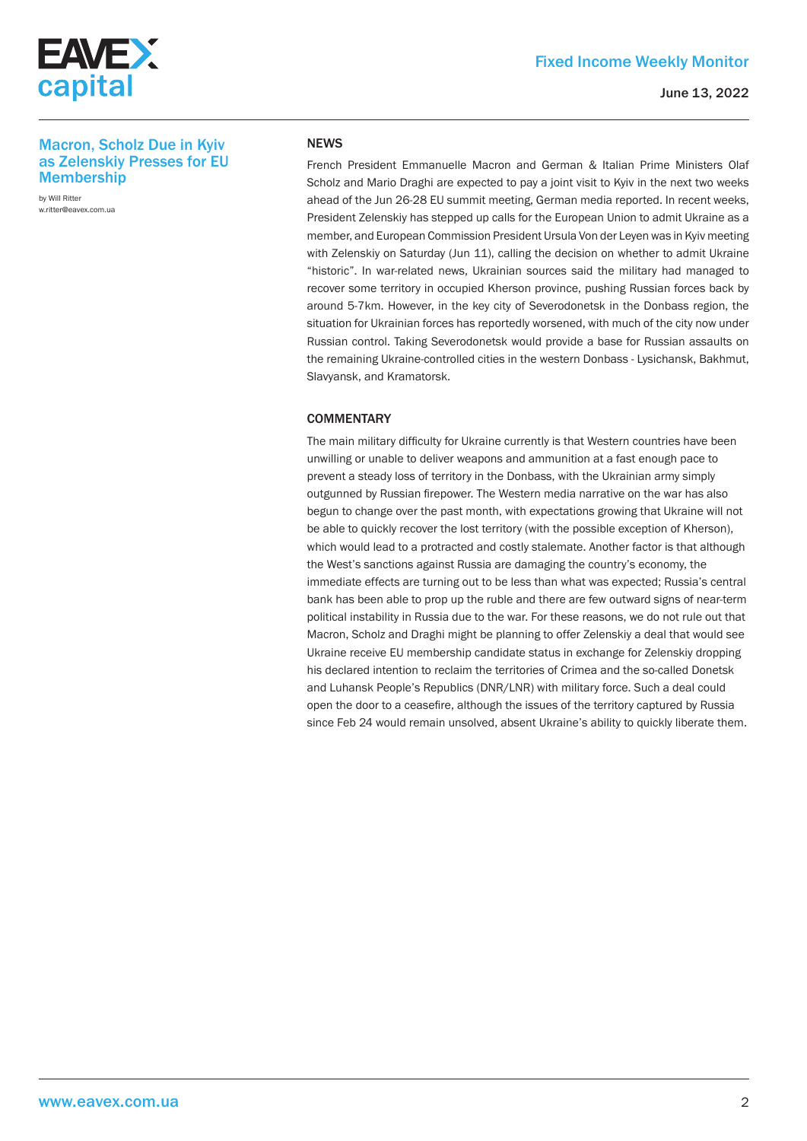

#### June 13, 2022

### Macron, Scholz Due in Kyiv as Zelenskiy Presses for EU **Membership**

by Will Ritter w.ritter@eavex.com.ua

#### **NEWS**

French President Emmanuelle Macron and German & Italian Prime Ministers Olaf Scholz and Mario Draghi are expected to pay a joint visit to Kyiv in the next two weeks ahead of the Jun 26-28 EU summit meeting, German media reported. In recent weeks, President Zelenskiy has stepped up calls for the European Union to admit Ukraine as a member, and European Commission President Ursula Von der Leyen was in Kyiv meeting with Zelenskiy on Saturday (Jun 11), calling the decision on whether to admit Ukraine "historic". In war-related news, Ukrainian sources said the military had managed to recover some territory in occupied Kherson province, pushing Russian forces back by around 5-7km. However, in the key city of Severodonetsk in the Donbass region, the situation for Ukrainian forces has reportedly worsened, with much of the city now under Russian control. Taking Severodonetsk would provide a base for Russian assaults on the remaining Ukraine-controlled cities in the western Donbass - Lysichansk, Bakhmut, Slavyansk, and Kramatorsk.

#### **COMMENTARY**

The main military difficulty for Ukraine currently is that Western countries have been unwilling or unable to deliver weapons and ammunition at a fast enough pace to prevent a steady loss of territory in the Donbass, with the Ukrainian army simply outgunned by Russian firepower. The Western media narrative on the war has also begun to change over the past month, with expectations growing that Ukraine will not be able to quickly recover the lost territory (with the possible exception of Kherson), which would lead to a protracted and costly stalemate. Another factor is that although the West's sanctions against Russia are damaging the country's economy, the immediate effects are turning out to be less than what was expected; Russia's central bank has been able to prop up the ruble and there are few outward signs of near-term political instability in Russia due to the war. For these reasons, we do not rule out that Macron, Scholz and Draghi might be planning to offer Zelenskiy a deal that would see Ukraine receive EU membership candidate status in exchange for Zelenskiy dropping his declared intention to reclaim the territories of Crimea and the so-called Donetsk and Luhansk People's Republics (DNR/LNR) with military force. Such a deal could open the door to a ceasefire, although the issues of the territory captured by Russia since Feb 24 would remain unsolved, absent Ukraine's ability to quickly liberate them.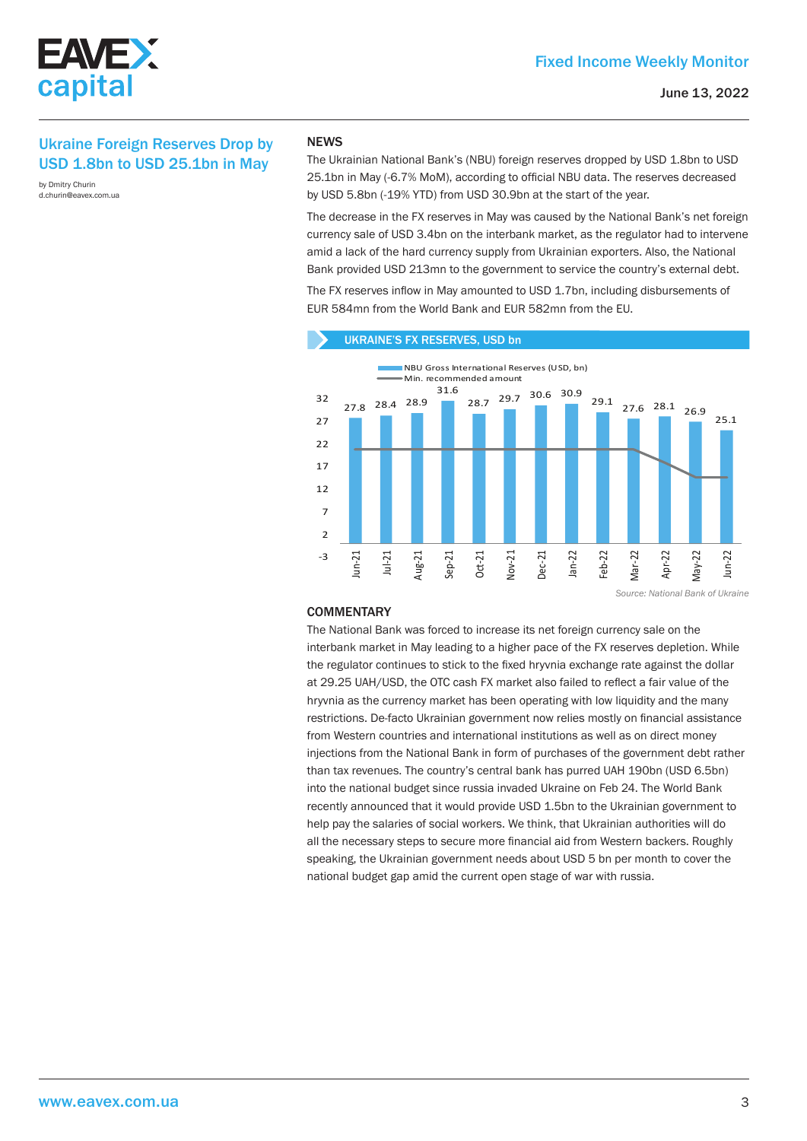

## Ukraine Foreign Reserves Drop by USD 1.8bn to USD 25.1bn in May

by Dmitry Churin d.churin@eavex.com.ua

#### **NEWS**

The Ukrainian National Bank's (NBU) foreign reserves dropped by USD 1.8bn to USD 25.1bn in May (-6.7% MoM), according to official NBU data. The reserves decreased by USD 5.8bn (-19% YTD) from USD 30.9bn at the start of the year.

The decrease in the FX reserves in May was caused by the National Bank's net foreign currency sale of USD 3.4bn on the interbank market, as the regulator had to intervene amid a lack of the hard currency supply from Ukrainian exporters. Also, the National Bank provided USD 213mn to the government to service the country's external debt.

The FX reserves inflow in May amounted to USD 1.7bn, including disbursements of EUR 584mn from the World Bank and EUR 582mn from the EU.



*Source: National Bank of Ukraine*

#### **COMMENTARY**

The National Bank was forced to increase its net foreign currency sale on the interbank market in May leading to a higher pace of the FX reserves depletion. While the regulator continues to stick to the fixed hryvnia exchange rate against the dollar at 29.25 UAH/USD, the OTC cash FX market also failed to reflect a fair value of the hryvnia as the currency market has been operating with low liquidity and the many restrictions. De-facto Ukrainian government now relies mostly on financial assistance from Western countries and international institutions as well as on direct money injections from the National Bank in form of purchases of the government debt rather than tax revenues. The country's central bank has purred UAH 190bn (USD 6.5bn) into the national budget since russia invaded Ukraine on Feb 24. The World Bank recently announced that it would provide USD 1.5bn to the Ukrainian government to help pay the salaries of social workers. We think, that Ukrainian authorities will do all the necessary steps to secure more financial aid from Western backers. Roughly speaking, the Ukrainian government needs about USD 5 bn per month to cover the national budget gap amid the current open stage of war with russia.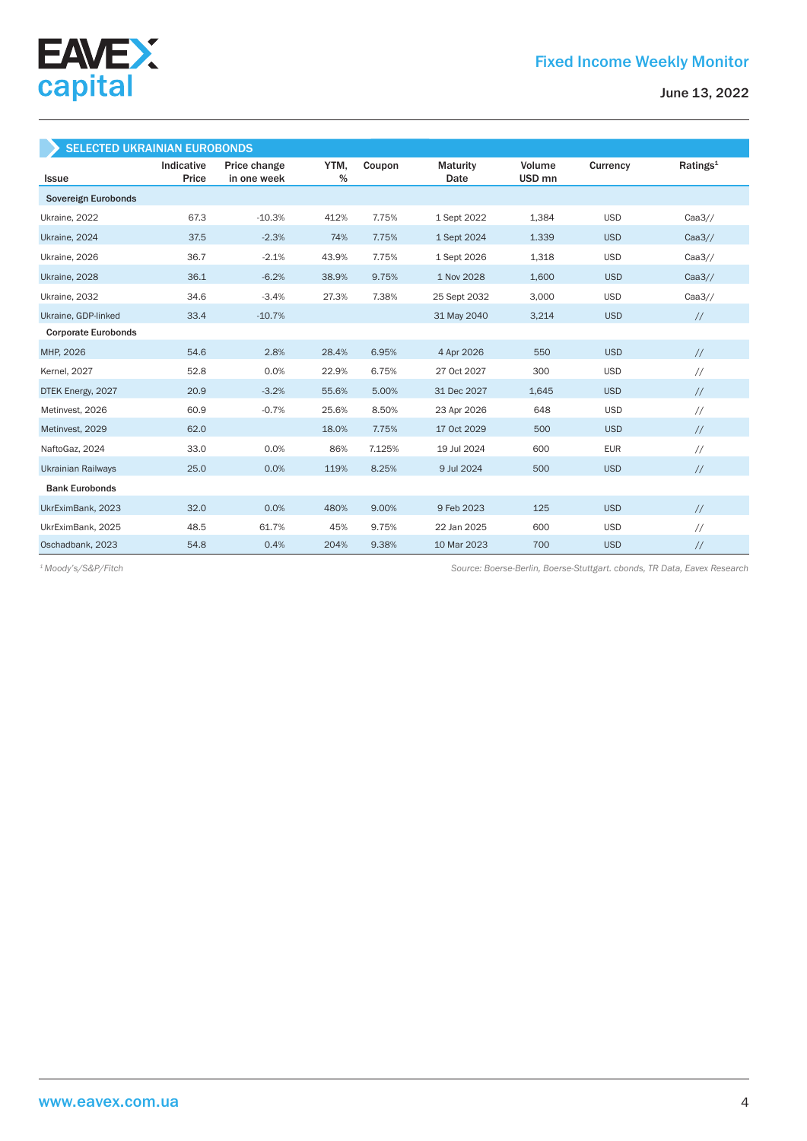

| <b>SELECTED UKRAINIAN EUROBONDS</b> |                     |                             |              |        |                         |                             |            |                      |  |  |
|-------------------------------------|---------------------|-----------------------------|--------------|--------|-------------------------|-----------------------------|------------|----------------------|--|--|
| Issue                               | Indicative<br>Price | Price change<br>in one week | YTM,<br>$\%$ | Coupon | <b>Maturity</b><br>Date | Volume<br>USD <sub>mn</sub> | Currency   | Ratings <sup>1</sup> |  |  |
| Sovereign Eurobonds                 |                     |                             |              |        |                         |                             |            |                      |  |  |
| Ukraine, 2022                       | 67.3                | $-10.3%$                    | 412%         | 7.75%  | 1 Sept 2022             | 1,384                       | <b>USD</b> | Caa3/                |  |  |
| Ukraine, 2024                       | 37.5                | $-2.3%$                     | 74%          | 7.75%  | 1 Sept 2024             | 1.339                       | <b>USD</b> | Caa3/                |  |  |
| Ukraine, 2026                       | 36.7                | $-2.1%$                     | 43.9%        | 7.75%  | 1 Sept 2026             | 1,318                       | <b>USD</b> | Caa3/                |  |  |
| Ukraine, 2028                       | 36.1                | $-6.2%$                     | 38.9%        | 9.75%  | 1 Nov 2028              | 1,600                       | <b>USD</b> | Caa3/                |  |  |
| Ukraine, 2032                       | 34.6                | $-3.4%$                     | 27.3%        | 7.38%  | 25 Sept 2032            | 3,000                       | <b>USD</b> | Caa3/                |  |  |
| Ukraine, GDP-linked                 | 33.4                | $-10.7%$                    |              |        | 31 May 2040             | 3,214                       | <b>USD</b> | $\frac{1}{2}$        |  |  |
| <b>Corporate Eurobonds</b>          |                     |                             |              |        |                         |                             |            |                      |  |  |
| MHP, 2026                           | 54.6                | 2.8%                        | 28.4%        | 6.95%  | 4 Apr 2026              | 550                         | <b>USD</b> | $\frac{1}{2}$        |  |  |
| <b>Kernel</b> , 2027                | 52.8                | 0.0%                        | 22.9%        | 6.75%  | 27 Oct 2027             | 300                         | <b>USD</b> | $\frac{1}{2}$        |  |  |
| DTEK Energy, 2027                   | 20.9                | $-3.2%$                     | 55.6%        | 5.00%  | 31 Dec 2027             | 1.645                       | <b>USD</b> | $\frac{1}{2}$        |  |  |
| Metinvest, 2026                     | 60.9                | $-0.7%$                     | 25.6%        | 8.50%  | 23 Apr 2026             | 648                         | <b>USD</b> | $\frac{1}{2}$        |  |  |
| Metinvest, 2029                     | 62.0                |                             | 18.0%        | 7.75%  | 17 Oct 2029             | 500                         | <b>USD</b> | $\frac{1}{2}$        |  |  |
| NaftoGaz, 2024                      | 33.0                | 0.0%                        | 86%          | 7.125% | 19 Jul 2024             | 600                         | <b>EUR</b> | $\frac{1}{2}$        |  |  |
| <b>Ukrainian Railways</b>           | 25.0                | 0.0%                        | 119%         | 8.25%  | 9 Jul 2024              | 500                         | <b>USD</b> | $\frac{1}{2}$        |  |  |
| <b>Bank Eurobonds</b>               |                     |                             |              |        |                         |                             |            |                      |  |  |
| UkrEximBank, 2023                   | 32.0                | 0.0%                        | 480%         | 9.00%  | 9 Feb 2023              | 125                         | <b>USD</b> | $\frac{1}{2}$        |  |  |
| UkrEximBank, 2025                   | 48.5                | 61.7%                       | 45%          | 9.75%  | 22 Jan 2025             | 600                         | <b>USD</b> | $\frac{1}{2}$        |  |  |
| Oschadbank, 2023                    | 54.8                | 0.4%                        | 204%         | 9.38%  | 10 Mar 2023             | 700                         | <b>USD</b> | $\frac{1}{2}$        |  |  |

*Source: Boerse-Berlin, Boerse-Stuttgart. cbonds, TR Data, Eavex Research 1 Moody's/S&P/Fitch*